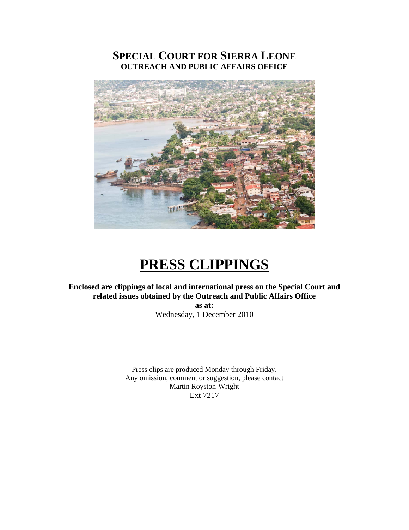# **SPECIAL COURT FOR SIERRA LEONE OUTREACH AND PUBLIC AFFAIRS OFFICE**



# **PRESS CLIPPINGS**

**Enclosed are clippings of local and international press on the Special Court and related issues obtained by the Outreach and Public Affairs Office** 

**as at:**  Wednesday, 1 December 2010

Press clips are produced Monday through Friday. Any omission, comment or suggestion, please contact Martin Royston-Wright Ext 7217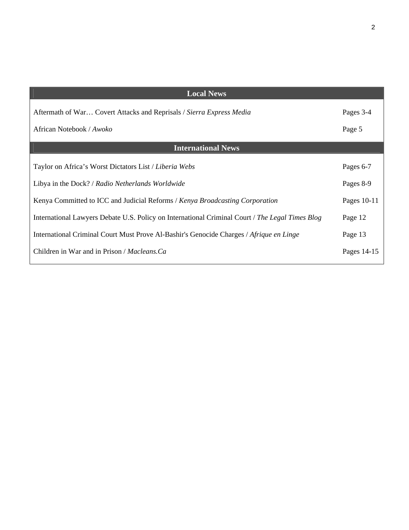| <b>Local News</b>                                                                               |             |
|-------------------------------------------------------------------------------------------------|-------------|
| Aftermath of War Covert Attacks and Reprisals / Sierra Express Media                            | Pages 3-4   |
| African Notebook / Awoko                                                                        | Page 5      |
| <b>International News</b>                                                                       |             |
| Taylor on Africa's Worst Dictators List / Liberia Webs                                          | Pages 6-7   |
| Libya in the Dock? / Radio Netherlands Worldwide                                                | Pages 8-9   |
| Kenya Committed to ICC and Judicial Reforms / Kenya Broadcasting Corporation                    | Pages 10-11 |
| International Lawyers Debate U.S. Policy on International Criminal Court / The Legal Times Blog | Page 12     |
| International Criminal Court Must Prove Al-Bashir's Genocide Charges / Afrique en Linge         | Page 13     |
| Children in War and in Prison / <i>Macleans.Ca</i>                                              | Pages 14-15 |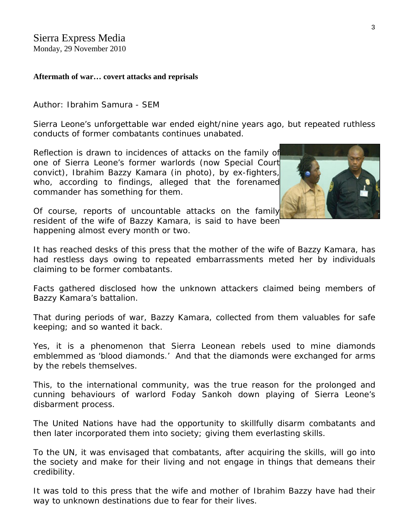## **Aftermath of war… covert attacks and reprisals**

Author: Ibrahim Samura - SEM

Sierra Leone's unforgettable war ended eight/nine years ago, but repeated ruthless conducts of former combatants continues unabated.

Reflection is drawn to incidences of attacks on the family of one of Sierra Leone's former warlords (now Special Court convict), Ibrahim Bazzy Kamara (in photo), by ex-fighters[,](http://www.sierraexpressmedia.com/archives/16889)  who, according to findings, alleged that the forenamed commander has something for them.



Of course, reports of uncountable attacks on the family resident of the wife of Bazzy Kamara, is said to have been happening almost every month or two.

It has reached desks of this press that the mother of the wife of Bazzy Kamara, has had restless days owing to repeated embarrassments meted her by individuals claiming to be former combatants.

Facts gathered disclosed how the unknown attackers claimed being members of Bazzy Kamara's battalion.

That during periods of war, Bazzy Kamara, collected from them valuables for safe keeping; and so wanted it back.

Yes, it is a phenomenon that Sierra Leonean rebels used to mine diamonds emblemmed as 'blood diamonds.' And that the diamonds were exchanged for arms by the rebels themselves.

This, to the international community, was the true reason for the prolonged and cunning behaviours of warlord Foday Sankoh down playing of Sierra Leone's disbarment process.

The United Nations have had the opportunity to skillfully disarm combatants and then later incorporated them into society; giving them everlasting skills.

To the UN, it was envisaged that combatants, after acquiring the skills, will go into the society and make for their living and not engage in things that demeans their credibility.

It was told to this press that the wife and mother of Ibrahim Bazzy have had their way to unknown destinations due to fear for their lives.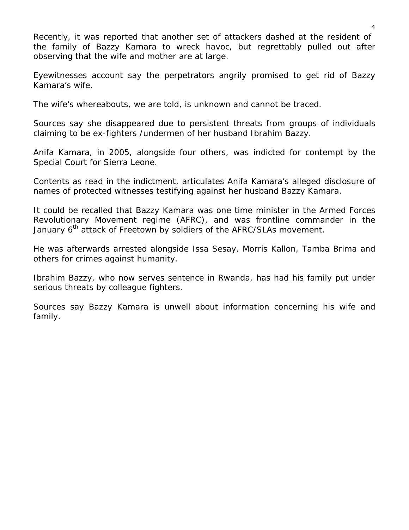Recently, it was reported that another set of attackers dashed at the resident of the family of Bazzy Kamara to wreck havoc, but regrettably pulled out after observing that the wife and mother are at large.

Eyewitnesses account say the perpetrators angrily promised to get rid of Bazzy Kamara's wife.

The wife's whereabouts, we are told, is unknown and cannot be traced.

Sources say she disappeared due to persistent threats from groups of individuals claiming to be ex-fighters /undermen of her husband Ibrahim Bazzy.

Anifa Kamara, in 2005, alongside four others, was indicted for contempt by the Special Court for Sierra Leone.

Contents as read in the indictment, articulates Anifa Kamara's alleged disclosure of names of protected witnesses testifying against her husband Bazzy Kamara.

It could be recalled that Bazzy Kamara was one time minister in the Armed Forces Revolutionary Movement regime (AFRC), and was frontline commander in the January 6<sup>th</sup> attack of Freetown by soldiers of the AFRC/SLAs movement.

He was afterwards arrested alongside Issa Sesay, Morris Kallon, Tamba Brima and others for crimes against humanity.

Ibrahim Bazzy, who now serves sentence in Rwanda, has had his family put under serious threats by colleague fighters.

Sources say Bazzy Kamara is unwell about information concerning his wife and family.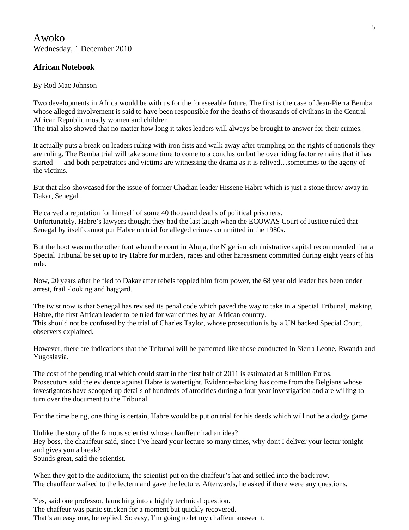Awoko Wednesday, 1 December 2010

### **African Notebook**

By Rod Mac Johnson

Two developments in Africa would be with us for the foreseeable future. The first is the case of Jean-Pierra Bemba whose alleged involvement is said to have been responsible for the deaths of thousands of civilians in the Central African Republic mostly women and children.

The trial also showed that no matter how long it takes leaders will always be brought to answer for their crimes.

It actually puts a break on leaders ruling with iron fists and walk away after trampling on the rights of nationals they are ruling. The Bemba trial will take some time to come to a conclusion but he overriding factor remains that it has started — and both perpetrators and victims are witnessing the drama as it is relived…sometimes to the agony of the victims.

But that also showcased for the issue of former Chadian leader Hissene Habre which is just a stone throw away in Dakar, Senegal.

He carved a reputation for himself of some 40 thousand deaths of political prisoners. Unfortunately, Habre's lawyers thought they had the last laugh when the ECOWAS Court of Justice ruled that Senegal by itself cannot put Habre on trial for alleged crimes committed in the 1980s.

But the boot was on the other foot when the court in Abuja, the Nigerian administrative capital recommended that a Special Tribunal be set up to try Habre for murders, rapes and other harassment committed during eight years of his rule.

Now, 20 years after he fled to Dakar after rebels toppled him from power, the 68 year old leader has been under arrest, frail -looking and haggard.

The twist now is that Senegal has revised its penal code which paved the way to take in a Special Tribunal, making Habre, the first African leader to be tried for war crimes by an African country. This should not be confused by the trial of Charles Taylor, whose prosecution is by a UN backed Special Court, observers explained.

However, there are indications that the Tribunal will be patterned like those conducted in Sierra Leone, Rwanda and Yugoslavia.

The cost of the pending trial which could start in the first half of 2011 is estimated at 8 million Euros. Prosecutors said the evidence against Habre is watertight. Evidence-backing has come from the Belgians whose investigators have scooped up details of hundreds of atrocities during a four year investigation and are willing to turn over the document to the Tribunal.

For the time being, one thing is certain, Habre would be put on trial for his deeds which will not be a dodgy game.

Unlike the story of the famous scientist whose chauffeur had an idea? Hey boss, the chauffeur said, since I've heard your lecture so many times, why dont I deliver your lectur tonight and gives you a break? Sounds great, said the scientist.

When they got to the auditorium, the scientist put on the chaffeur's hat and settled into the back row. The chauffeur walked to the lectern and gave the lecture. Afterwards, he asked if there were any questions.

Yes, said one professor, launching into a highly technical question. The chaffeur was panic stricken for a moment but quickly recovered. That's an easy one, he replied. So easy, I'm going to let my chaffeur answer it.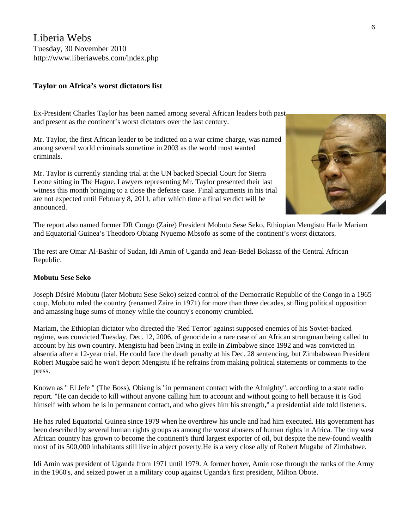Liberia Webs Tuesday, 30 November 2010 <http://www.liberiawebs.com/index.php>

#### **[Taylor on Africa's worst dictators list](http://www.liberiawebs.com/index.php?option=com_content&view=article&id=685:taylor-on-africas-worst-dictators-list&catid=81:liberia&Itemid=526)**

Ex-President Charles Taylor has been named among several African leaders both past and present as the continent's worst dictators over the last century.

Mr. Taylor, the first African leader to be indicted on a war crime charge, was named among several world criminals sometime in 2003 as the world most wanted criminals.

Mr. Taylor is currently standing trial at the UN backed Special Court for Sierra Leone sitting in The Hague. Lawyers representing Mr. Taylor presented their last witness this month bringing to a close the defense case. Final arguments in his trial are not expected until February 8, 2011, after which time a final verdict will be announced.



The report also named former DR Congo (Zaire) President Mobutu Sese Seko, Ethiopian Mengistu Haile Mariam and Equatorial Guinea's Theodoro Obiang Nyuemo Mbsofo as some of the continent's worst dictators.

The rest are Omar Al-Bashir of Sudan, Idi Amin of Uganda and Jean-Bedel Bokassa of the Central African Republic.

#### **Mobutu Sese Seko**

Joseph Désiré Mobutu (later Mobutu Sese Seko) seized control of the Democratic Republic of the Congo in a 1965 coup. Mobutu ruled the country (renamed Zaire in 1971) for more than three decades, stifling political opposition and amassing huge sums of money while the country's economy crumbled.

Mariam, the Ethiopian dictator who directed the 'Red Terror' against supposed enemies of his Soviet-backed regime, was convicted Tuesday, Dec. 12, 2006, of genocide in a rare case of an African strongman being called to account by his own country. Mengistu had been living in exile in Zimbabwe since 1992 and was convicted in absentia after a 12-year trial. He could face the death penalty at his Dec. 28 sentencing, but Zimbabwean President Robert Mugabe said he won't deport Mengistu if he refrains from making political statements or comments to the press.

Known as " El Jefe " (The Boss), Obiang is "in permanent contact with the Almighty", according to a state radio report. "He can decide to kill without anyone calling him to account and without going to hell because it is God himself with whom he is in permanent contact, and who gives him his strength," a presidential aide told listeners.

He has ruled Equatorial Guinea since 1979 when he overthrew his uncle and had him executed. His government has been described by several human rights groups as among the worst abusers of human rights in Africa. The tiny west African country has grown to become the continent's third largest exporter of oil, but despite the new-found wealth most of its 500,000 inhabitants still live in abject poverty.He is a very close ally of Robert Mugabe of Zimbabwe.

Idi Amin was president of Uganda from 1971 until 1979. A former boxer, Amin rose through the ranks of the Army in the 1960's, and seized power in a military coup against Uganda's first president, Milton Obote.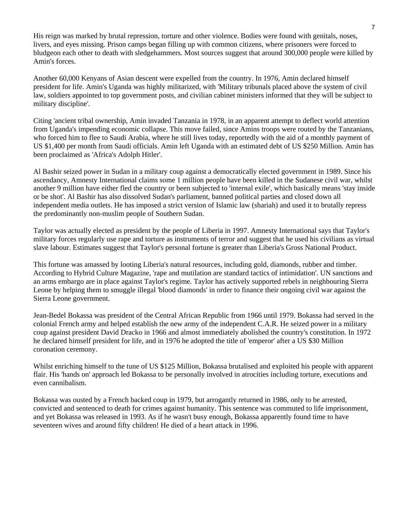His reign was marked by brutal repression, torture and other violence. Bodies were found with genitals, noses, livers, and eyes missing. Prison camps began filling up with common citizens, where prisoners were forced to bludgeon each other to death with sledgehammers. Most sources suggest that around 300,000 people were killed by Amin's forces.

Another 60,000 Kenyans of Asian descent were expelled from the country. In 1976, Amin declared himself president for life. Amin's Uganda was highly militarized, with 'Military tribunals placed above the system of civil law, soldiers appointed to top government posts, and civilian cabinet ministers informed that they will be subject to military discipline'.

Citing 'ancient tribal ownership, Amin invaded Tanzania in 1978, in an apparent attempt to deflect world attention from Uganda's impending economic collapse. This move failed, since Amins troops were routed by the Tanzanians, who forced him to flee to Saudi Arabia, where he still lives today, reportedly with the aid of a monthly payment of US \$1,400 per month from Saudi officials. Amin left Uganda with an estimated debt of US \$250 Million. Amin has been proclaimed as 'Africa's Adolph Hitler'.

Al Bashir seized power in Sudan in a military coup against a democratically elected government in 1989. Since his ascendancy, Amnesty International claims some 1 million people have been killed in the Sudanese civil war, whilst another 9 million have either fled the country or been subjected to 'internal exile', which basically means 'stay inside or be shot'. Al Bashir has also dissolved Sudan's parliament, banned political parties and closed down all independent media outlets. He has imposed a strict version of Islamic law (shariah) and used it to brutally repress the predominantly non-muslim people of Southern Sudan.

Taylor was actually elected as president by the people of Liberia in 1997. Amnesty International says that Taylor's military forces regularly use rape and torture as instruments of terror and suggest that he used his civilians as virtual slave labour. Estimates suggest that Taylor's personal fortune is greater than Liberia's Gross National Product.

This fortune was amassed by looting Liberia's natural resources, including gold, diamonds, rubber and timber. According to Hybrid Culture Magazine, 'rape and mutilation are standard tactics of intimidation'. UN sanctions and an arms embargo are in place against Taylor's regime. Taylor has actively supported rebels in neighbouring Sierra Leone by helping them to smuggle illegal 'blood diamonds' in order to finance their ongoing civil war against the Sierra Leone government.

Jean-Bedel Bokassa was president of the Central African Republic from 1966 until 1979. Bokassa had served in the colonial French army and helped establish the new army of the independent C.A.R. He seized power in a military coup against president David Dracko in 1966 and almost immediately abolished the country's constitution. In 1972 he declared himself president for life, and in 1976 he adopted the title of 'emperor' after a US \$30 Million coronation ceremony.

Whilst enriching himself to the tune of US \$125 Million, Bokassa brutalised and exploited his people with apparent flair. His 'hands on' approach led Bokassa to be personally involved in atrocities including torture, executions and even cannibalism.

Bokassa was ousted by a French backed coup in 1979, but arrogantly returned in 1986, only to be arrested, convicted and sentenced to death for crimes against humanity. This sentence was commuted to life imprisonment, and yet Bokassa was released in 1993. As if he wasn't busy enough, Bokassa apparently found time to have seventeen wives and around fifty children! He died of a heart attack in 1996.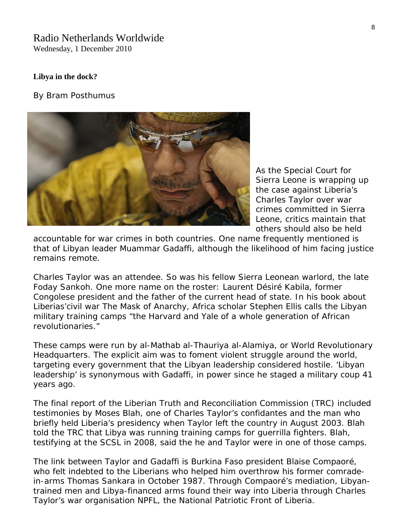## Radio Netherlands Worldwide Wednesday, 1 December 2010

#### **Libya in the dock?**

*By Bram Posthumus*



As the Special Court for Sierra Leone is wrapping up the case against Liberia's Charles Taylor over war crimes committed in Sierra Leone, critics maintain that others should also be held

accountable for war crimes in both countries. One name frequently mentioned is that of Libyan leader Muammar Gadaffi, although the likelihood of him facing justice remains remote.

Charles Taylor was an attendee. So was his fellow Sierra Leonean warlord, the late Foday Sankoh. One more name on the roster: Laurent Désiré Kabila, former Congolese president and the father of the current head of state. In his book about Liberias'civil war The Mask of Anarchy, Africa scholar Stephen Ellis calls the Libyan military training camps "the Harvard and Yale of a whole generation of African revolutionaries."

These camps were run by al-Mathab al-Thauriya al-Alamiya, or World Revolutionary Headquarters. The explicit aim was to foment violent struggle around the world, targeting every government that the Libyan leadership considered hostile. 'Libyan leadership' is synonymous with Gadaffi, in power since he staged a military coup 41 years ago.

The final report of the Liberian Truth and Reconciliation Commission (TRC) included testimonies by Moses Blah, one of Charles Taylor's confidantes and the man who briefly held Liberia's presidency when Taylor left the country in August 2003. Blah told the TRC that Libya was running training camps for guerrilla fighters. Blah, testifying at the SCSL in 2008, said the he and Taylor were in one of those camps.

The link between Taylor and Gadaffi is Burkina Faso president Blaise Compaoré, who felt indebted to the Liberians who helped him overthrow his former comradein-arms Thomas Sankara in October 1987. Through Compaoré's mediation, Libyantrained men and Libya-financed arms found their way into Liberia through Charles Taylor's war organisation NPFL, the National Patriotic Front of Liberia.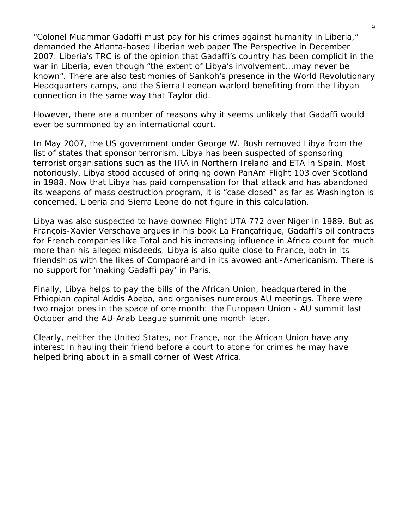"Colonel Muammar Gadaffi must pay for his crimes against humanity in Liberia," demanded the Atlanta-based Liberian web paper The Perspective in December 2007. Liberia's TRC is of the opinion that Gadaffi's country has been complicit in the war in Liberia, even though "the extent of Libya's involvement...may never be known". There are also testimonies of Sankoh's presence in the World Revolutionary Headquarters camps, and the Sierra Leonean warlord benefiting from the Libyan connection in the same way that Taylor did.

However, there are a number of reasons why it seems unlikely that Gadaffi would ever be summoned by an international court.

In May 2007, the US government under George W. Bush removed Libya from the list of states that sponsor terrorism. Libya has been suspected of sponsoring terrorist organisations such as the IRA in Northern Ireland and ETA in Spain. Most notoriously, Libya stood accused of bringing down PanAm Flight 103 over Scotland in 1988. Now that Libya has paid compensation for that attack and has abandoned its weapons of mass destruction program, it is "case closed" as far as Washington is concerned. Liberia and Sierra Leone do not figure in this calculation.

Libya was also suspected to have downed Flight UTA 772 over Niger in 1989. But as François-Xavier Verschave argues in his book La Françafrique, Gadaffi's oil contracts for French companies like Total and his increasing influence in Africa count for much more than his alleged misdeeds. Libya is also quite close to France, both in its friendships with the likes of Compaoré and in its avowed anti-Americanism. There is no support for 'making Gadaffi pay' in Paris.

Finally, Libya helps to pay the bills of the African Union, headquartered in the Ethiopian capital Addis Abeba, and organises numerous AU meetings. There were two major ones in the space of one month: the European Union - AU summit last October and the AU-Arab League summit one month later.

Clearly, neither the United States, nor France, nor the African Union have any interest in hauling their friend before a court to atone for crimes he may have helped bring about in a small corner of West Africa.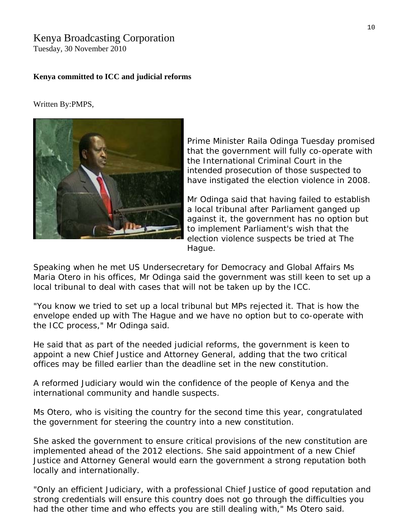# Kenya Broadcasting Corporation

Tuesday, 30 November 2010

#### **Kenya committed to ICC and judicial reforms**

Written By:PMPS,



Prime Minister Raila Odinga Tuesday promised that the government will fully co-operate with intended prosecution of those suspected to have instigated the election violence in 2008. the International Criminal Court in the

Mr Odinga said that having failed to establish against it, the government has no option but a local tribunal after Parliament ganged up to implement Parliament's wish that the election violence suspects be tried at The Hague.

Speaking when he met US Undersecretary for Democracy and Global Affairs Ms Maria Otero in his offices, Mr Odinga said the government was still keen to set up a local tribunal to deal with cases that will not be taken up by the ICC.

"You know we tried to set up a local tribunal but MPs rejected it. That is how the envelope ended up with The Hague and we have no option but to co-operate with the ICC process," Mr Odinga said.

He said that as part of the needed judicial reforms, the government is keen to appoint a new Chief Justice and Attorney General, adding that the two critical offices may be filled earlier than the deadline set in the new constitution.

A reformed Judiciary would win the confidence of the people of Kenya and the international community and handle suspects.

Ms Otero, who is visiting the country for the second time this year, congratulated the government for steering the country into a new constitution.

She asked the government to ensure critical provisions of the new constitution are Justice and Attorney General would earn the government a strong reputation both implemented ahead of the 2012 elections. She said appointment of a new Chief locally and internationally.

"Only an efficient Judiciary, with a professional Chief Justice of good reputation and strong credentials will ensure this country does not go through the difficulties you had the other time and who effects you are still dealing with," Ms Otero said.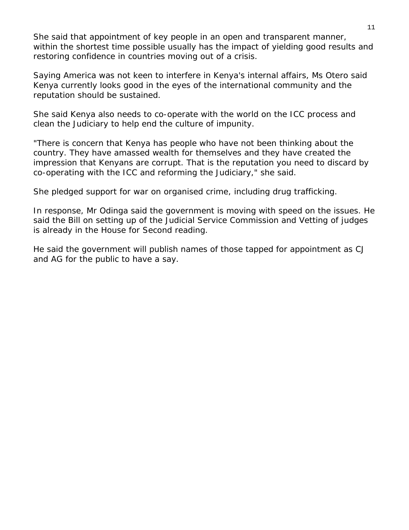within the shortest time possible usually has the impact of yielding good results and She said that appointment of key people in an open and transparent manner, restoring confidence in countries moving out of a crisis.

Saying America was not keen to interfere in Kenya's internal affairs, Ms Otero said Kenya currently looks good in the eyes of the international community and the reputation should be sustained.

She said Kenya also needs to co-operate with the world on the ICC process and clean the Judiciary to help end the culture of impunity.

"There is concern that Kenya has people who have not been thinking about the impression that Kenyans are corrupt. That is the reputation you need to discard by co-operating with the ICC and reforming the Judiciary," she said. country. They have amassed wealth for themselves and they have created the

She pledged support for war on organised crime, including drug trafficking.

In response, Mr Odinga said the government is moving with speed on the issues. He said the Bill on setting up of the Judicial Service Commission and Vetting of judges is already in the House for Second reading.

He said the government will publish names of those tapped for appointment as CJ and AG for the public to have a say.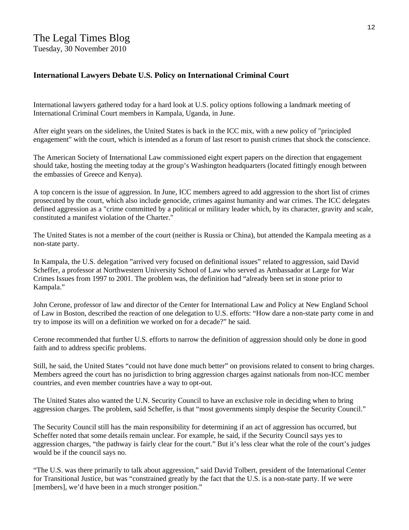# **International Lawyers Debate U.S. Policy on International Criminal Court**

International lawyers gathered today for a hard look at U.S. policy options following a landmark meeting of International Criminal Court members in Kampala, Uganda, in June.

After eight years on the sidelines, the United States is back in the ICC mix, with a new policy of "principled engagement" with the court, which is intended as a forum of last resort to punish [crimes that shock the conscience.](http://www.law.com/jsp/law/international/LawArticleIntl.jsp?id=1202432217472)

The American Society of International Law commissioned eight expert papers on the direction that engagement should take, hosting the meeting today at the group's Washington headquarters (located fittingly enough between the embassies of Greece and Kenya).

A top concern is the issue of aggression. In June, ICC members agreed to add aggression to the short list of crimes prosecuted by the court, which also include genocide, crimes against humanity and war crimes. The ICC delegates defined aggression as a "crime committed by a political or military leader which, by its character, gravity and scale, constituted a manifest violation of the Charter."

The United States is not a member of the court (neither is Russia or China), but attended the Kampala meeting as a non-state party.

In Kampala, the U.S. delegation "arrived very focused on definitional issues" related to aggression, said David Scheffer, a professor at Northwestern University School of Law who served as Ambassador at Large for War Crimes Issues from 1997 to 2001. The problem was, the definition had "already been set in stone prior to Kampala."

John Cerone, professor of law and director of the Center for International Law and Policy at New England School of Law in Boston, described the reaction of one delegation to U.S. efforts: "How dare a non-state party come in and try to impose its will on a definition we worked on for a decade?" he said.

Cerone recommended that further U.S. efforts to narrow the definition of aggression should only be done in good faith and to address specific problems.

Still, he said, the United States "could not have done much better" on provisions related to consent to bring charges. Members agreed the court has no jurisdiction to bring aggression charges against nationals from non-ICC member countries, and even member countries have a way to opt-out.

The United States also wanted the U.N. Security Council to have an exclusive role in deciding when to bring aggression charges. The problem, said Scheffer, is that "most governments simply despise the Security Council."

The Security Council still has the main responsibility for determining if an act of aggression has occurred, but Scheffer noted that some details remain unclear. For example, he said, if the Security Council says yes to aggression charges, "the pathway is fairly clear for the court." But it's less clear what the role of the court's judges would be if the council says no.

"The U.S. was there primarily to talk about aggression," said David Tolbert, president of the International Center for Transitional Justice, but was "constrained greatly by the fact that the U.S. is a non-state party. If we were [members], we'd have been in a much stronger position."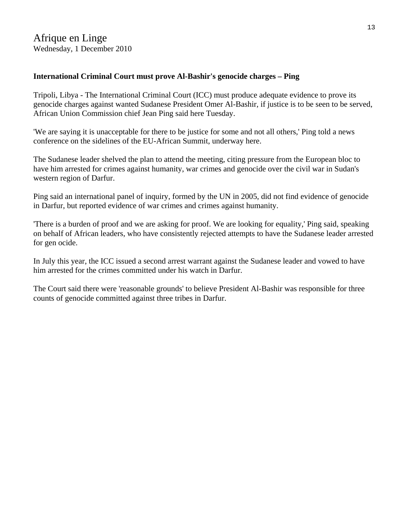# **International Criminal Court must prove Al-Bashir's genocide charges – Ping**

Tripoli, Libya - The International Criminal Court (ICC) must produce adequate evidence to prove its genocide charges against wanted Sudanese President Omer Al-Bashir, if justice is to be seen to be served, African Union Commission chief Jean Ping said here Tuesday.

'We are saying it is unacceptable for there to be justice for some and not all others,' Ping told a news conference on the sidelines of the EU-African Summit, underway here.

The Sudanese leader shelved the plan to attend the meeting, citing pressure from the European bloc to have him arrested for crimes against humanity, war crimes and genocide over the civil war in Sudan's western region of Darfur.

Ping said an international panel of inquiry, formed by the UN in 2005, did not find evidence of genocide in Darfur, but reported evidence of war crimes and crimes against humanity.

'There is a burden of proof and we are asking for proof. We are looking for equality,' Ping said, speaking on behalf of African leaders, who have consistently rejected attempts to have the Sudanese leader arrested for gen ocide.

In July this year, the ICC issued a second arrest warrant against the Sudanese leader and vowed to have him arrested for the crimes committed under his watch in Darfur.

The Court said there were 'reasonable grounds' to believe President Al-Bashir was responsible for three counts of genocide committed against three tribes in Darfur.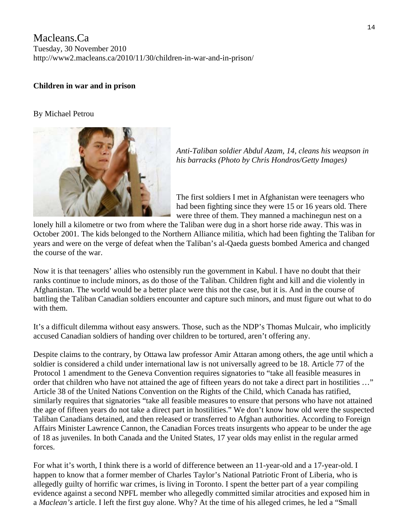Macleans.Ca Tuesday, 30 November 2010 http://www2.macleans.ca/2010/11/30/children-in-war-and-in-prison/

# **Children in war and in prison**

#### By [Michael Petrou](http://www2.macleans.ca/author/mpetrou/)



*Anti-Taliban soldier Abdul Azam, 14, cleans his weapson in his barracks (Photo by Chris Hondros/Getty Images)* 

The first soldiers I met in Afghanistan were teenagers who had been fighting since they were 15 or 16 years old. There were three of them. They manned a machinegun nest on a

lonely hill a kilometre or two from where the Taliban were dug in a short horse ride away. This was in October 2001. The kids belonged to the Northern Alliance militia, which had been fighting the Taliban for years and were on the verge of defeat when the Taliban's al-Qaeda guests bombed America and changed the course of the war.

Now it is that teenagers' allies who ostensibly run the government in Kabul. I have no doubt that their ranks continue to include minors, as do those of the Taliban. Children fight and kill and die violently in Afghanistan. The world would be a better place were this not the case, but it is. And in the course of battling the Taliban Canadian soldiers encounter and capture such minors, and must figure out what to do with them.

It's a difficult dilemma without easy answers. Those, such as the NDP's Thomas Mulcair, who implicitly [accused](http://www2.macleans.ca/2010/11/29/the-commons-lawrence-cannons-lips-are-sealed/) Canadian soldiers of handing over children to be tortured, aren't offering any.

Despite claims to the contrary, by Ottawa law professor Amir [Attaran](http://www.cbc.ca/canada/story/2010/11/26/afghan-child-detainees.html) among others, the age until which a soldier is considered a child under international law is not universally agreed to be 18. Article 77 of the Protocol 1 [amendment](http://www.icrc.org/ihl.nsf/7c4d08d9b287a42141256739003e636b/f6c8b9fee14a77fdc125641e0052b079) to the Geneva Convention requires signatories to "take all feasible measures in order that children who have not attained the age of fifteen years do not take a direct part in hostilities …" Article [38](http://www2.ohchr.org/english/law/crc.htm) of the United Nations Convention on the Rights of the Child, which Canada has ratified, similarly requires that signatories "take all feasible measures to ensure that persons who have not attained the age of fifteen years do not take a direct part in hostilities." We don't know how old were the suspected Taliban Canadians detained, and then released or transferred to Afghan authorities. According to Foreign Affairs Minister Lawrence Cannon, the Canadian Forces treats insurgents who appear to be under the age of 18 as juveniles. In both Canada and the United States, 17 year olds may enlist in the regular armed forces.

For what it's worth, I think there is a world of difference between an 11-year-old and a 17-year-old. I happen to know that a former member of Charles Taylor's National Patriotic Front of Liberia, who is allegedly guilty of horrific war crimes, is living in Toronto. I spent the better part of a year compiling evidence against a second NPFL member who allegedly committed similar atrocities and [exposed](http://www2.macleans.ca/2010/03/25/safe-haven-for-an-alleged-killer/) him in a *Maclean's* article. I left the first guy alone. Why? At the time of his alleged crimes, he led a "Small